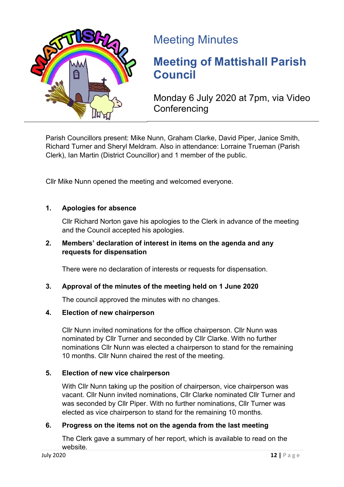

## Meeting Minutes

# **Meeting of Mattishall Parish Council**

Monday 6 July 2020 at 7pm, via Video **Conferencing** 

Parish Councillors present: Mike Nunn, Graham Clarke, David Piper, Janice Smith, Richard Turner and Sheryl Meldram. Also in attendance: Lorraine Trueman (Parish Clerk), Ian Martin (District Councillor) and 1 member of the public.

Cllr Mike Nunn opened the meeting and welcomed everyone.

## **1. Apologies for absence**

Cllr Richard Norton gave his apologies to the Clerk in advance of the meeting and the Council accepted his apologies.

#### **2. Members' declaration of interest in items on the agenda and any requests for dispensation**

There were no declaration of interests or requests for dispensation.

## **3. Approval of the minutes of the meeting held on 1 June 2020**

The council approved the minutes with no changes.

#### **4. Election of new chairperson**

Cllr Nunn invited nominations for the office chairperson. Cllr Nunn was nominated by Cllr Turner and seconded by Cllr Clarke. With no further nominations Cllr Nunn was elected a chairperson to stand for the remaining 10 months. Cllr Nunn chaired the rest of the meeting.

## **5. Election of new vice chairperson**

With Cllr Nunn taking up the position of chairperson, vice chairperson was vacant. Cllr Nunn invited nominations, Cllr Clarke nominated Cllr Turner and was seconded by Cllr Piper. With no further nominations, Cllr Turner was elected as vice chairperson to stand for the remaining 10 months.

## **6. Progress on the items not on the agenda from the last meeting**

The Clerk gave a summary of her report, which is available to read on the website.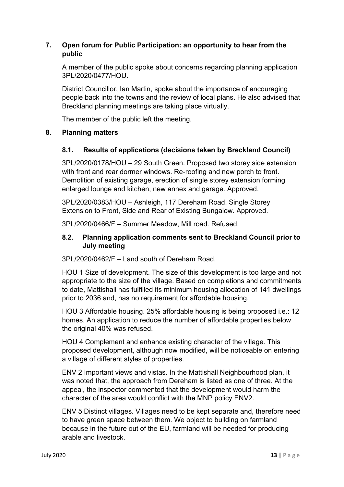## **7. Open forum for Public Participation: an opportunity to hear from the public**

A member of the public spoke about concerns regarding planning application 3PL/2020/0477/HOU.

District Councillor, Ian Martin, spoke about the importance of encouraging people back into the towns and the review of local plans. He also advised that Breckland planning meetings are taking place virtually.

The member of the public left the meeting.

## **8. Planning matters**

## **8.1. Results of applications (decisions taken by Breckland Council)**

3PL/2020/0178/HOU – 29 South Green. Proposed two storey side extension with front and rear dormer windows. Re-roofing and new porch to front. Demolition of existing garage, erection of single storey extension forming enlarged lounge and kitchen, new annex and garage. Approved.

3PL/2020/0383/HOU – Ashleigh, 117 Dereham Road. Single Storey Extension to Front, Side and Rear of Existing Bungalow. Approved.

3PL/2020/0466/F – Summer Meadow, Mill road. Refused.

#### **8.2. Planning application comments sent to Breckland Council prior to July meeting**

3PL/2020/0462/F – Land south of Dereham Road.

HOU 1 Size of development. The size of this development is too large and not appropriate to the size of the village. Based on completions and commitments to date, Mattishall has fulfilled its minimum housing allocation of 141 dwellings prior to 2036 and, has no requirement for affordable housing.

HOU 3 Affordable housing. 25% affordable housing is being proposed i.e.: 12 homes. An application to reduce the number of affordable properties below the original 40% was refused.

HOU 4 Complement and enhance existing character of the village. This proposed development, although now modified, will be noticeable on entering a village of different styles of properties.

ENV 2 Important views and vistas. In the Mattishall Neighbourhood plan, it was noted that, the approach from Dereham is listed as one of three. At the appeal, the inspector commented that the development would harm the character of the area would conflict with the MNP policy ENV2.

ENV 5 Distinct villages. Villages need to be kept separate and, therefore need to have green space between them. We object to building on farmland because in the future out of the EU, farmland will be needed for producing arable and livestock.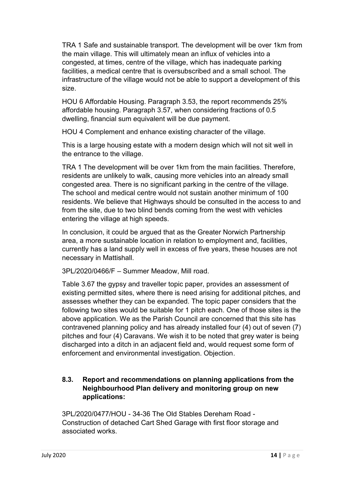TRA 1 Safe and sustainable transport. The development will be over 1km from the main village. This will ultimately mean an influx of vehicles into a congested, at times, centre of the village, which has inadequate parking facilities, a medical centre that is oversubscribed and a small school. The infrastructure of the village would not be able to support a development of this size.

HOU 6 Affordable Housing. Paragraph 3.53, the report recommends 25% affordable housing. Paragraph 3.57, when considering fractions of 0.5 dwelling, financial sum equivalent will be due payment.

HOU 4 Complement and enhance existing character of the village.

This is a large housing estate with a modern design which will not sit well in the entrance to the village.

TRA 1 The development will be over 1km from the main facilities. Therefore, residents are unlikely to walk, causing more vehicles into an already small congested area. There is no significant parking in the centre of the village. The school and medical centre would not sustain another minimum of 100 residents. We believe that Highways should be consulted in the access to and from the site, due to two blind bends coming from the west with vehicles entering the village at high speeds.

In conclusion, it could be argued that as the Greater Norwich Partnership area, a more sustainable location in relation to employment and, facilities, currently has a land supply well in excess of five years, these houses are not necessary in Mattishall.

3PL/2020/0466/F – Summer Meadow, Mill road.

Table 3.67 the gypsy and traveller topic paper, provides an assessment of existing permitted sites, where there is need arising for additional pitches, and assesses whether they can be expanded. The topic paper considers that the following two sites would be suitable for 1 pitch each. One of those sites is the above application. We as the Parish Council are concerned that this site has contravened planning policy and has already installed four (4) out of seven (7) pitches and four (4) Caravans. We wish it to be noted that grey water is being discharged into a ditch in an adjacent field and, would request some form of enforcement and environmental investigation. Objection.

## **8.3. Report and recommendations on planning applications from the Neighbourhood Plan delivery and monitoring group on new applications:**

3PL/2020/0477/HOU - 34-36 The Old Stables Dereham Road - Construction of detached Cart Shed Garage with first floor storage and associated works.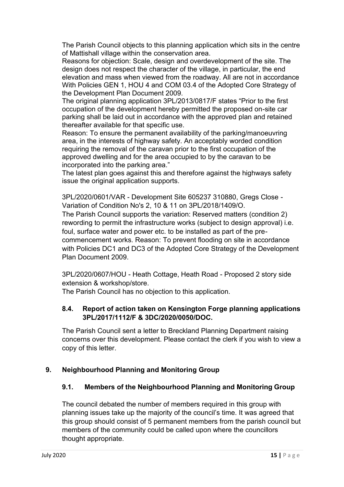The Parish Council objects to this planning application which sits in the centre of Mattishall village within the conservation area.

Reasons for objection: Scale, design and overdevelopment of the site. The design does not respect the character of the village, in particular, the end elevation and mass when viewed from the roadway. All are not in accordance With Policies GEN 1, HOU 4 and COM 03.4 of the Adopted Core Strategy of the Development Plan Document 2009.

The original planning application 3PL/2013/0817/F states "Prior to the first occupation of the development hereby permitted the proposed on-site car parking shall be laid out in accordance with the approved plan and retained thereafter available for that specific use.

Reason: To ensure the permanent availability of the parking/manoeuvring area, in the interests of highway safety. An acceptably worded condition requiring the removal of the caravan prior to the first occupation of the approved dwelling and for the area occupied to by the caravan to be incorporated into the parking area."

The latest plan goes against this and therefore against the highways safety issue the original application supports.

3PL/2020/0601/VAR - Development Site 605237 310880, Gregs Close - Variation of Condition No's 2, 10 & 11 on 3PL/2018/1409/O.

The Parish Council supports the variation: Reserved matters (condition 2) rewording to permit the infrastructure works (subject to design approval) i.e. foul, surface water and power etc. to be installed as part of the precommencement works. Reason: To prevent flooding on site in accordance with Policies DC1 and DC3 of the Adopted Core Strategy of the Development Plan Document 2009.

3PL/2020/0607/HOU - Heath Cottage, Heath Road - Proposed 2 story side extension & workshop/store.

The Parish Council has no objection to this application.

## **8.4. Report of action taken on Kensington Forge planning applications 3PL/2017/1112/F & 3DC/2020/0050/DOC.**

The Parish Council sent a letter to Breckland Planning Department raising concerns over this development. Please contact the clerk if you wish to view a copy of this letter.

## **9. Neighbourhood Planning and Monitoring Group**

## **9.1. Members of the Neighbourhood Planning and Monitoring Group**

The council debated the number of members required in this group with planning issues take up the majority of the council's time. It was agreed that this group should consist of 5 permanent members from the parish council but members of the community could be called upon where the councillors thought appropriate.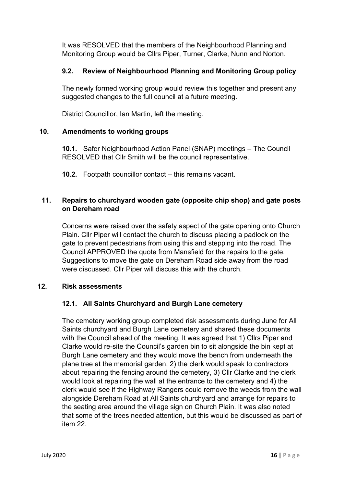It was RESOLVED that the members of the Neighbourhood Planning and Monitoring Group would be Cllrs Piper, Turner, Clarke, Nunn and Norton.

## **9.2. Review of Neighbourhood Planning and Monitoring Group policy**

The newly formed working group would review this together and present any suggested changes to the full council at a future meeting.

District Councillor, Ian Martin, left the meeting.

## **10. Amendments to working groups**

**10.1.** Safer Neighbourhood Action Panel (SNAP) meetings – The Council RESOLVED that Cllr Smith will be the council representative.

**10.2.** Footpath councillor contact – this remains vacant.

## **11. Repairs to churchyard wooden gate (opposite chip shop) and gate posts on Dereham road**

Concerns were raised over the safety aspect of the gate opening onto Church Plain. Cllr Piper will contact the church to discuss placing a padlock on the gate to prevent pedestrians from using this and stepping into the road. The Council APPROVED the quote from Mansfield for the repairs to the gate. Suggestions to move the gate on Dereham Road side away from the road were discussed. Cllr Piper will discuss this with the church.

## **12. Risk assessments**

## **12.1. All Saints Churchyard and Burgh Lane cemetery**

The cemetery working group completed risk assessments during June for All Saints churchyard and Burgh Lane cemetery and shared these documents with the Council ahead of the meeting. It was agreed that 1) Cllrs Piper and Clarke would re-site the Council's garden bin to sit alongside the bin kept at Burgh Lane cemetery and they would move the bench from underneath the plane tree at the memorial garden, 2) the clerk would speak to contractors about repairing the fencing around the cemetery, 3) Cllr Clarke and the clerk would look at repairing the wall at the entrance to the cemetery and 4) the clerk would see if the Highway Rangers could remove the weeds from the wall alongside Dereham Road at All Saints churchyard and arrange for repairs to the seating area around the village sign on Church Plain. It was also noted that some of the trees needed attention, but this would be discussed as part of item 22.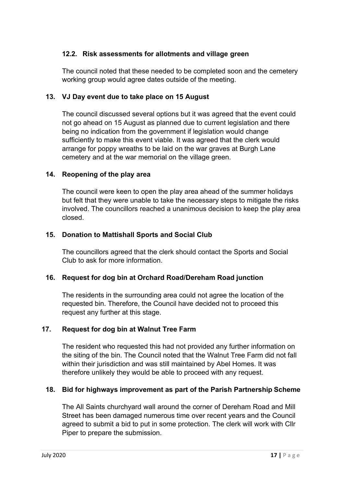## **12.2. Risk assessments for allotments and village green**

The council noted that these needed to be completed soon and the cemetery working group would agree dates outside of the meeting.

## **13. VJ Day event due to take place on 15 August**

The council discussed several options but it was agreed that the event could not go ahead on 15 August as planned due to current legislation and there being no indication from the government if legislation would change sufficiently to make this event viable. It was agreed that the clerk would arrange for poppy wreaths to be laid on the war graves at Burgh Lane cemetery and at the war memorial on the village green.

## **14. Reopening of the play area**

The council were keen to open the play area ahead of the summer holidays but felt that they were unable to take the necessary steps to mitigate the risks involved. The councillors reached a unanimous decision to keep the play area closed.

## **15. Donation to Mattishall Sports and Social Club**

The councillors agreed that the clerk should contact the Sports and Social Club to ask for more information.

## **16. Request for dog bin at Orchard Road/Dereham Road junction**

The residents in the surrounding area could not agree the location of the requested bin. Therefore, the Council have decided not to proceed this request any further at this stage.

## **17. Request for dog bin at Walnut Tree Farm**

The resident who requested this had not provided any further information on the siting of the bin. The Council noted that the Walnut Tree Farm did not fall within their jurisdiction and was still maintained by Abel Homes. It was therefore unlikely they would be able to proceed with any request.

## **18. Bid for highways improvement as part of the Parish Partnership Scheme**

The All Saints churchyard wall around the corner of Dereham Road and Mill Street has been damaged numerous time over recent years and the Council agreed to submit a bid to put in some protection. The clerk will work with Cllr Piper to prepare the submission.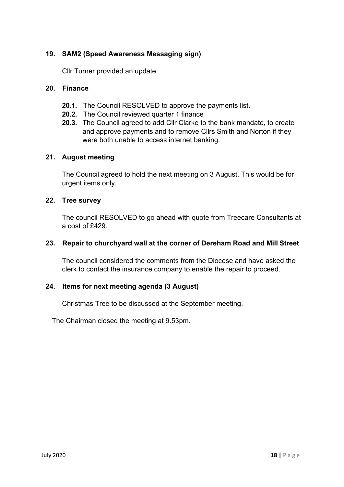## **19. SAM2 (Speed Awareness Messaging sign)**

Cllr Turner provided an update.

#### **20. Finance**

- **20.1.** The Council RESOLVED to approve the payments list.
- **20.2.** The Council reviewed quarter 1 finance
- **20.3.** The Council agreed to add Cllr Clarke to the bank mandate, to create and approve payments and to remove Cllrs Smith and Norton if they were both unable to access internet banking.

#### **21. August meeting**

The Council agreed to hold the next meeting on 3 August. This would be for urgent items only.

#### **22. Tree survey**

The council RESOLVED to go ahead with quote from Treecare Consultants at a cost of £429.

#### **23. Repair to churchyard wall at the corner of Dereham Road and Mill Street**

The council considered the comments from the Diocese and have asked the clerk to contact the insurance company to enable the repair to proceed.

## **24. Items for next meeting agenda (3 August)**

Christmas Tree to be discussed at the September meeting.

The Chairman closed the meeting at 9.53pm.